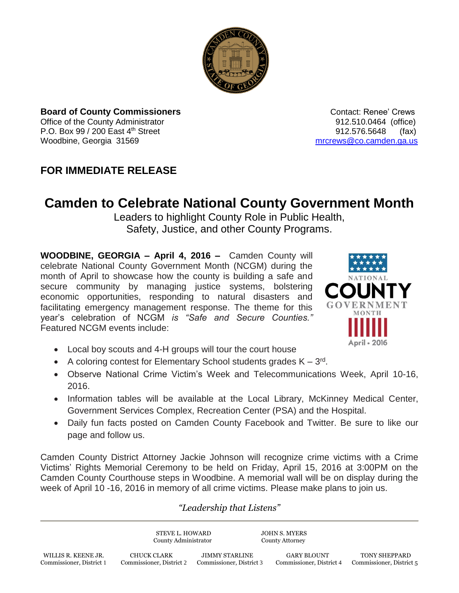

**Board of County Commissioners Contact: Renee' Crews Contact: Renee' Crews** Office of the County Administrator 912.510.0464 (office) P.O. Box 99 / 200 East 4<sup>th</sup> Street 912.576.5648 (fax) Woodbine, Georgia 31569 [mrcrews@co.camden.ga.us](mailto:mrcrews@co.camden.ga.us)

## **FOR IMMEDIATE RELEASE**

## **Camden to Celebrate National County Government Month**

Leaders to highlight County Role in Public Health, Safety, Justice, and other County Programs.

**WOODBINE, GEORGIA – April 4, 2016 –** Camden County will celebrate National County Government Month (NCGM) during the month of April to showcase how the county is building a safe and secure community by managing justice systems, bolstering economic opportunities, responding to natural disasters and facilitating emergency management response. The theme for this year's celebration of NCGM *is "Safe and Secure Counties."* Featured NCGM events include:



- Local boy scouts and 4-H groups will tour the court house
- A coloring contest for Elementary School students grades  $K 3^{rd}$ .
- Observe National Crime Victim's Week and Telecommunications Week, April 10-16, 2016.
- Information tables will be available at the Local Library, McKinney Medical Center, Government Services Complex, Recreation Center (PSA) and the Hospital.
- Daily fun facts posted on Camden County Facebook and Twitter. Be sure to like our page and follow us.

Camden County District Attorney Jackie Johnson will recognize crime victims with a Crime Victims' Rights Memorial Ceremony to be held on Friday, April 15, 2016 at 3:00PM on the Camden County Courthouse steps in Woodbine. A memorial wall will be on display during the week of April 10 -16, 2016 in memory of all crime victims. Please make plans to join us.

## *"Leadership that Listens"*

STEVE L. HOWARD JOHN S. MYERS County Administrator County Attorney WILLIS R. KEENE JR. CHUCK CLARK JIMMY STARLINE GARY BLOUNT TONY SHEPPARD Commissioner, District 1 Commissioner, District 2 Commissioner, District 3